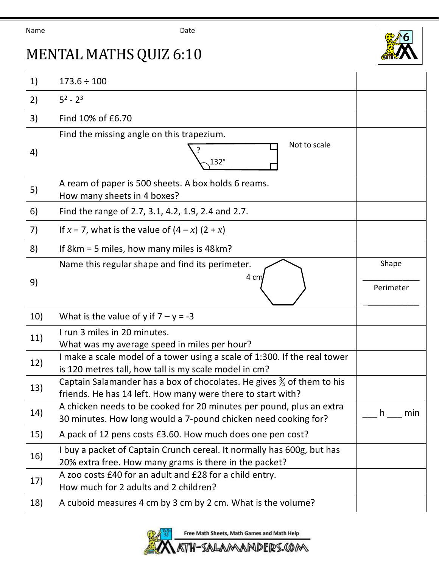## Name Date



## MENTAL MATHS QUIZ 6:10

| 1)  | $173.6 \div 100$                                                                                                                                 |                    |
|-----|--------------------------------------------------------------------------------------------------------------------------------------------------|--------------------|
| 2)  | $5^2 - 2^3$                                                                                                                                      |                    |
| 3)  | Find 10% of £6.70                                                                                                                                |                    |
| 4)  | Find the missing angle on this trapezium.<br>Not to scale<br>132°                                                                                |                    |
| 5)  | A ream of paper is 500 sheets. A box holds 6 reams.<br>How many sheets in 4 boxes?                                                               |                    |
| 6)  | Find the range of 2.7, 3.1, 4.2, 1.9, 2.4 and 2.7.                                                                                               |                    |
| 7)  | If $x = 7$ , what is the value of $(4 - x) (2 + x)$                                                                                              |                    |
| 8)  | If 8km = 5 miles, how many miles is 48km?                                                                                                        |                    |
| 9)  | Name this regular shape and find its perimeter.<br>4 cm                                                                                          | Shape<br>Perimeter |
| 10) | What is the value of y if $7 - y = -3$                                                                                                           |                    |
| 11) | I run 3 miles in 20 minutes.<br>What was my average speed in miles per hour?                                                                     |                    |
| 12) | I make a scale model of a tower using a scale of 1:300. If the real tower                                                                        |                    |
|     | is 120 metres tall, how tall is my scale model in cm?                                                                                            |                    |
| 13) | Captain Salamander has a box of chocolates. He gives $\frac{2}{3}$ of them to his<br>friends. He has 14 left. How many were there to start with? |                    |
| 14) | A chicken needs to be cooked for 20 minutes per pound, plus an extra<br>30 minutes. How long would a 7-pound chicken need cooking for?           | h.<br>min          |
| 15) | A pack of 12 pens costs £3.60. How much does one pen cost?                                                                                       |                    |
| 16) | I buy a packet of Captain Crunch cereal. It normally has 600g, but has<br>20% extra free. How many grams is there in the packet?                 |                    |
| 17) | A zoo costs £40 for an adult and £28 for a child entry.<br>How much for 2 adults and 2 children?                                                 |                    |